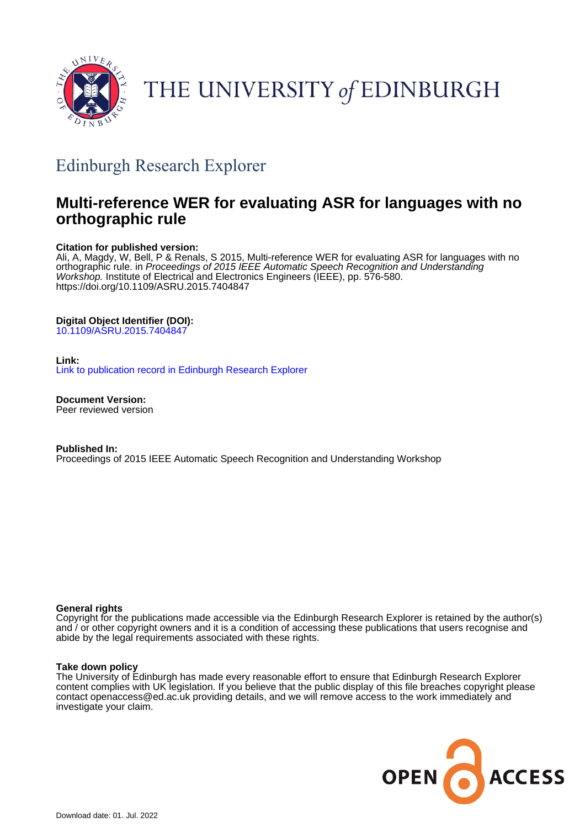

# THE UNIVERSITY of EDINBURGH

## Edinburgh Research Explorer

## **Multi-reference WER for evaluating ASR for languages with no orthographic rule**

## **Citation for published version:**

Ali, A, Magdy, W, Bell, P & Renals, S 2015, Multi-reference WER for evaluating ASR for languages with no orthographic rule. in Proceedings of 2015 IEEE Automatic Speech Recognition and Understanding Workshop. Institute of Electrical and Electronics Engineers (IEEE), pp. 576-580. <https://doi.org/10.1109/ASRU.2015.7404847>

## **Digital Object Identifier (DOI):**

[10.1109/ASRU.2015.7404847](https://doi.org/10.1109/ASRU.2015.7404847)

## **Link:**

[Link to publication record in Edinburgh Research Explorer](https://www.research.ed.ac.uk/en/publications/4c652012-2209-4eb8-be55-66b47525d5a7)

**Document Version:** Peer reviewed version

**Published In:** Proceedings of 2015 IEEE Automatic Speech Recognition and Understanding Workshop

## **General rights**

Copyright for the publications made accessible via the Edinburgh Research Explorer is retained by the author(s) and / or other copyright owners and it is a condition of accessing these publications that users recognise and abide by the legal requirements associated with these rights.

#### **Take down policy**

The University of Edinburgh has made every reasonable effort to ensure that Edinburgh Research Explorer content complies with UK legislation. If you believe that the public display of this file breaches copyright please contact openaccess@ed.ac.uk providing details, and we will remove access to the work immediately and investigate your claim.

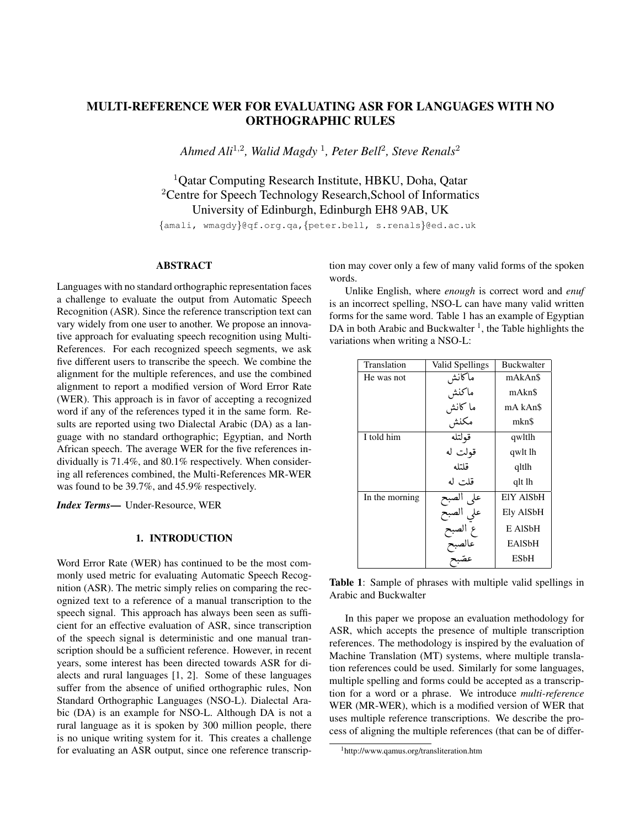## MULTI-REFERENCE WER FOR EVALUATING ASR FOR LANGUAGES WITH NO ORTHOGRAPHIC RULES

*Ahmed Ali*<sup>1</sup>*,*<sup>2</sup>*, Walid Magdy* <sup>1</sup>*, Peter Bell*<sup>2</sup>*, Steve Renals*<sup>2</sup>

<sup>1</sup>Oatar Computing Research Institute, HBKU, Doha, Oatar <sup>2</sup>Centre for Speech Technology Research, School of Informatics University of Edinburgh, Edinburgh EH8 9AB, UK

*{*amali, wmagdy*}*@qf.org.qa,*{*peter.bell, s.renals*}*@ed.ac.uk

## ABSTRACT

Languages with no standard orthographic representation faces a challenge to evaluate the output from Automatic Speech Recognition (ASR). Since the reference transcription text can vary widely from one user to another. We propose an innovative approach for evaluating speech recognition using Multi-References. For each recognized speech segments, we ask five different users to transcribe the speech. We combine the alignment for the multiple references, and use the combined alignment to report a modified version of Word Error Rate (WER). This approach is in favor of accepting a recognized word if any of the references typed it in the same form. Results are reported using two Dialectal Arabic (DA) as a language with no standard orthographic; Egyptian, and North African speech. The average WER for the five references individually is 71.4%, and 80.1% respectively. When considering all references combined, the Multi-References MR-WER was found to be 39.7%, and 45.9% respectively.

*Index Terms*— Under-Resource, WER

#### 1. INTRODUCTION

Word Error Rate (WER) has continued to be the most commonly used metric for evaluating Automatic Speech Recognition (ASR). The metric simply relies on comparing the recognized text to a reference of a manual transcription to the speech signal. This approach has always been seen as sufficient for an effective evaluation of ASR, since transcription of the speech signal is deterministic and one manual transcription should be a sufficient reference. However, in recent years, some interest has been directed towards ASR for dialects and rural languages [\[1,](#page-4-0) [2\]](#page-4-1). Some of these languages suffer from the absence of unified orthographic rules, Non Standard Orthographic Languages (NSO-L). Dialectal Arabic (DA) is an example for NSO-L. Although DA is not a rural language as it is spoken by 300 million people, there is no unique writing system for it. This creates a challenge for evaluating an ASR output, since one reference transcription may cover only a few of many valid forms of the spoken words.

Unlike English, where *enough* is correct word and *enuf* is an incorrect spelling, NSO-L can have many valid written forms for the same word. Table [1](#page-1-0) has an example of Egyptian DA in both Arabic and Buckwalter<sup>1</sup>, the Table highlights the variations when writing a NSO-L:

<span id="page-1-0"></span>

| Translation    | Valid Spellings                                     | <b>Buckwalter</b>   |  |
|----------------|-----------------------------------------------------|---------------------|--|
| He was not     |                                                     | mAkAn\$             |  |
|                | ماكانش<br>ماكنش                                     | mAkn\$              |  |
|                | ما كانش<br>مكنش                                     | mA kAn\$            |  |
|                |                                                     | mkn\$               |  |
| I told him     | قولتله                                              | qwltlh              |  |
|                | قولت له                                             | qwlt lh             |  |
|                | قلتله                                               | qltlh               |  |
|                | قلت له                                              | qlt lh              |  |
| In the morning |                                                     | EIY AISbH           |  |
|                |                                                     | Ely AlSbH           |  |
|                |                                                     | E AIS <sub>bH</sub> |  |
|                |                                                     | <b>EAISbH</b>       |  |
|                | على الصبح<br>علي الصبح<br>ع الصبح<br>عصّبح<br>عصّبح | ESbH                |  |

Table 1: Sample of phrases with multiple valid spellings in Arabic and Buckwalter

In this paper we propose an evaluation methodology for ASR, which accepts the presence of multiple transcription references. The methodology is inspired by the evaluation of Machine Translation (MT) systems, where multiple translation references could be used. Similarly for some languages, multiple spelling and forms could be accepted as a transcription for a word or a phrase. We introduce *multi-reference* WER (MR-WER), which is a modified version of WER that uses multiple reference transcriptions. We describe the process of aligning the multiple references (that can be of differ-

<span id="page-1-1"></span><sup>1</sup>http://www.qamus.org/transliteration.htm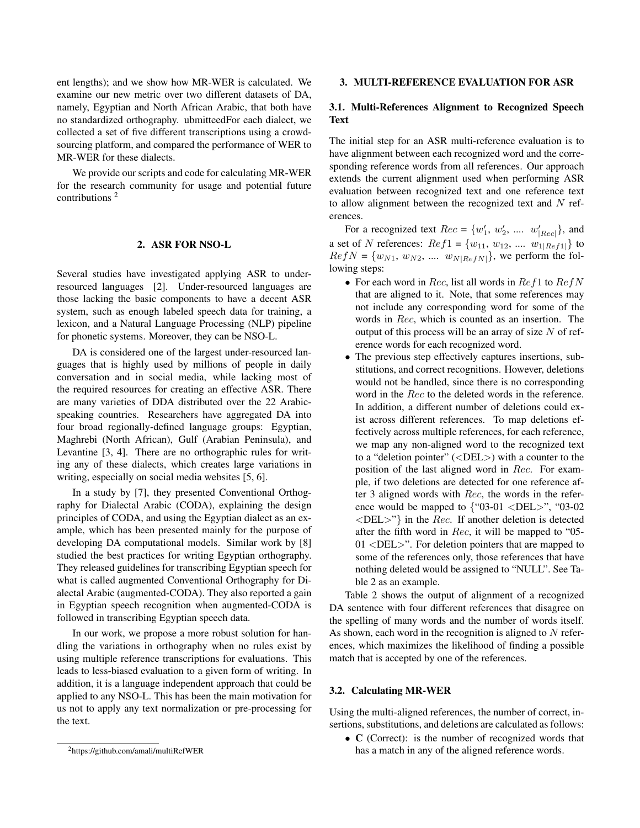ent lengths); and we show how MR-WER is calculated. We examine our new metric over two different datasets of DA, namely, Egyptian and North African Arabic, that both have no standardized orthography. ubmitteedFor each dialect, we collected a set of five different transcriptions using a crowdsourcing platform, and compared the performance of WER to MR-WER for these dialects.

We provide our scripts and code for calculating MR-WER for the research community for usage and potential future contributions [2](#page-2-0)

#### 2. ASR FOR NSO-L

Several studies have investigated applying ASR to underresourced languages [\[2\]](#page-4-1). Under-resourced languages are those lacking the basic components to have a decent ASR system, such as enough labeled speech data for training, a lexicon, and a Natural Language Processing (NLP) pipeline for phonetic systems. Moreover, they can be NSO-L.

DA is considered one of the largest under-resourced languages that is highly used by millions of people in daily conversation and in social media, while lacking most of the required resources for creating an effective ASR. There are many varieties of DDA distributed over the 22 Arabicspeaking countries. Researchers have aggregated DA into four broad regionally-defined language groups: Egyptian, Maghrebi (North African), Gulf (Arabian Peninsula), and Levantine [\[3,](#page-4-2) [4\]](#page-4-3). There are no orthographic rules for writing any of these dialects, which creates large variations in writing, especially on social media websites [\[5,](#page-4-4) [6\]](#page-4-5).

In a study by [\[7\]](#page-5-0), they presented Conventional Orthography for Dialectal Arabic (CODA), explaining the design principles of CODA, and using the Egyptian dialect as an example, which has been presented mainly for the purpose of developing DA computational models. Similar work by [\[8\]](#page-5-1) studied the best practices for writing Egyptian orthography. They released guidelines for transcribing Egyptian speech for what is called augmented Conventional Orthography for Dialectal Arabic (augmented-CODA). They also reported a gain in Egyptian speech recognition when augmented-CODA is followed in transcribing Egyptian speech data.

In our work, we propose a more robust solution for handling the variations in orthography when no rules exist by using multiple reference transcriptions for evaluations. This leads to less-biased evaluation to a given form of writing. In addition, it is a language independent approach that could be applied to any NSO-L. This has been the main motivation for us not to apply any text normalization or pre-processing for the text.

#### 3. MULTI-REFERENCE EVALUATION FOR ASR

#### 3.1. Multi-References Alignment to Recognized Speech Text

The initial step for an ASR multi-reference evaluation is to have alignment between each recognized word and the corresponding reference words from all references. Our approach extends the current alignment used when performing ASR evaluation between recognized text and one reference text to allow alignment between the recognized text and *N* references.

For a recognized text  $Rec = \{w'_1, w'_2, \dots, w'_{|Rec|}\}$ , and a set of *N* references:  $Ref1 = \{w_{11}, w_{12}, \dots, w_{1|Ref1|}\}$  to  $RefN = \{w_{N1}, w_{N2}, \dots, w_{N|RefN|}\}$ , we perform the following steps:

- *•* For each word in *Rec*, list all words in *Ref*1 to *RefN* that are aligned to it. Note, that some references may not include any corresponding word for some of the words in *Rec*, which is counted as an insertion. The output of this process will be an array of size *N* of reference words for each recognized word.
- *•* The previous step effectively captures insertions, substitutions, and correct recognitions. However, deletions would not be handled, since there is no corresponding word in the *Rec* to the deleted words in the reference. In addition, a different number of deletions could exist across different references. To map deletions effectively across multiple references, for each reference, we map any non-aligned word to the recognized text to a "deletion pointer" (*<*DEL*>*) with a counter to the position of the last aligned word in *Rec*. For example, if two deletions are detected for one reference after 3 aligned words with *Rec*, the words in the reference would be mapped to *{*"03-01 *<*DEL*>*", "03-02 *<*DEL*>*"*}* in the *Rec*. If another deletion is detected after the fifth word in *Rec*, it will be mapped to "05- 01 *<*DEL*>*". For deletion pointers that are mapped to some of the references only, those references that have nothing deleted would be assigned to "NULL". See Table [2](#page-3-0) as an example.

Table [2](#page-3-0) shows the output of alignment of a recognized DA sentence with four different references that disagree on the spelling of many words and the number of words itself. As shown, each word in the recognition is aligned to *N* references, which maximizes the likelihood of finding a possible match that is accepted by one of the references.

#### 3.2. Calculating MR-WER

Using the multi-aligned references, the number of correct, insertions, substitutions, and deletions are calculated as follows:

• C (Correct): is the number of recognized words that has a match in any of the aligned reference words.

<span id="page-2-0"></span><sup>2</sup>https://github.com/amali/multiRefWER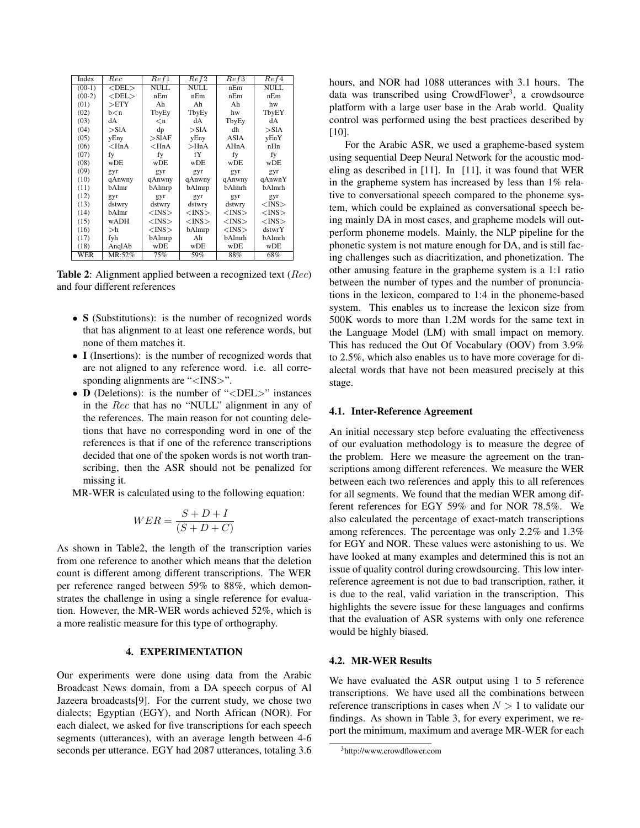| Index    | $_{Rec}$                                                               | Ref1        | Ref2        | Ref3        | Re f4       |
|----------|------------------------------------------------------------------------|-------------|-------------|-------------|-------------|
| $(00-1)$ | $<$ DEL $>$                                                            | NULL        | NULL        | nEm         | <b>NULL</b> |
| $(00-2)$ | $<$ DEL $>$                                                            | nEm         | nEm         | nEm         | nEm         |
| (01)     | >ETY                                                                   | Ah          | Ah          | Ah          | hw          |
| (02)     | b <n< td=""><td>TbyEy</td><td>TbyEy</td><td>hw</td><td>TbyEY</td></n<> | TbyEy       | TbyEy       | hw          | TbyEY       |
| (03)     | dА                                                                     | $\langle n$ | dA          | TbyEy       | dA          |
| (04)     | $>$ S1A                                                                | dp          | $>$ S1A     | dh          | $>$ S1A     |
| (05)     | yEny                                                                   | $>$ SlAF    | yEny        | ASIA        | yEnY        |
| (06)     | $<$ HnA                                                                | $<$ HnA     | $>$ HnA     | AHnA        | nHn         |
| (07)     | fy                                                                     | fy          | fY          | fy          | fy          |
| (08)     | wDE                                                                    | wDE         | wDE         | wDE         | wDE         |
| (09)     | gyr                                                                    | gyr         | gyr         | gyr         | gyr         |
| (10)     | qAnwny                                                                 | qAnwny      | qAnwny      | qAnwny      | qAnwnY      |
| (11)     | bAlmr                                                                  | bAlmrp      | bAlmrp      | bAlmrh      | bAlmrh      |
| (12)     | gyr                                                                    | gyr         | gyr         | gyr         | gyr         |
| (13)     | dstwry                                                                 | dstwry      | dstwry      | dstwry      | $<$ INS $>$ |
| (14)     | bAlmr                                                                  | $<$ INS $>$ | $<$ INS $>$ | $<$ INS $>$ | $<$ INS $>$ |
| (15)     | wADH                                                                   | $<$ INS $>$ | $<$ INS $>$ | $<$ INS $>$ | $<$ INS $>$ |
| (16)     | >h                                                                     | $<$ INS $>$ | bAlmrp      | $<$ INS $>$ | dstwrY      |
| (17)     | fyh                                                                    | bAlmrp      | Ah          | bAlmrh      | bAlmrh      |
| (18)     | AnglAb                                                                 | wDE         | wDE         | wDE         | wDE         |
| WER      | MR:52%                                                                 | 75%         | 59%         | 88%         | 68%         |

Table 2: Alignment applied between a recognized text (*Rec*) and four different references

- S (Substitutions): is the number of recognized words that has alignment to at least one reference words, but none of them matches it.
- *•* I (Insertions): is the number of recognized words that are not aligned to any reference word. i.e. all corresponding alignments are "*<*INS*>*".
- *•* D (Deletions): is the number of "*<*DEL*>*" instances in the *Rec* that has no "NULL" alignment in any of the references. The main reason for not counting deletions that have no corresponding word in one of the references is that if one of the reference transcriptions decided that one of the spoken words is not worth transcribing, then the ASR should not be penalized for missing it.
- MR-WER is calculated using to the following equation:

$$
WER = \frac{S + D + I}{(S + D + C)}
$$

As shown in Tabl[e2,](#page-3-0) the length of the transcription varies from one reference to another which means that the deletion count is different among different transcriptions. The WER per reference ranged between 59% to 88%, which demonstrates the challenge in using a single reference for evaluation. However, the MR-WER words achieved 52%, which is a more realistic measure for this type of orthography.

#### 4. EXPERIMENTATION

Our experiments were done using data from the Arabic Broadcast News domain, from a DA speech corpus of Al Jazeera broadcasts[\[9\]](#page-5-2). For the current study, we chose two dialects; Egyptian (EGY), and North African (NOR). For each dialect, we asked for five transcriptions for each speech segments (utterances), with an average length between 4-6 seconds per utterance. EGY had 2087 utterances, totaling 3.6 hours, and NOR had 1088 utterances with 3.1 hours. The data was transcribed using CrowdFlower<sup>3</sup>, a crowdsource platform with a large user base in the Arab world. Quality control was performed using the best practices described by [\[10\]](#page-5-3).

<span id="page-3-0"></span>For the Arabic ASR, we used a grapheme-based system using sequential Deep Neural Network for the acoustic modeling as described in [\[11\]](#page-5-4). In [\[11\]](#page-5-4), it was found that WER in the grapheme system has increased by less than 1% relative to conversational speech compared to the phoneme system, which could be explained as conversational speech being mainly DA in most cases, and grapheme models will outperform phoneme models. Mainly, the NLP pipeline for the phonetic system is not mature enough for DA, and is still facing challenges such as diacritization, and phonetization. The other amusing feature in the grapheme system is a 1:1 ratio between the number of types and the number of pronunciations in the lexicon, compared to 1:4 in the phoneme-based system. This enables us to increase the lexicon size from 500K words to more than 1.2M words for the same text in the Language Model (LM) with small impact on memory. This has reduced the Out Of Vocabulary (OOV) from 3.9% to 2.5%, which also enables us to have more coverage for dialectal words that have not been measured precisely at this stage.

#### 4.1. Inter-Reference Agreement

An initial necessary step before evaluating the effectiveness of our evaluation methodology is to measure the degree of the problem. Here we measure the agreement on the transcriptions among different references. We measure the WER between each two references and apply this to all references for all segments. We found that the median WER among different references for EGY 59% and for NOR 78.5%. We also calculated the percentage of exact-match transcriptions among references. The percentage was only 2.2% and 1.3% for EGY and NOR. These values were astonishing to us. We have looked at many examples and determined this is not an issue of quality control during crowdsourcing. This low interreference agreement is not due to bad transcription, rather, it is due to the real, valid variation in the transcription. This highlights the severe issue for these languages and confirms that the evaluation of ASR systems with only one reference would be highly biased.

#### 4.2. MR-WER Results

We have evaluated the ASR output using 1 to 5 reference transcriptions. We have used all the combinations between reference transcriptions in cases when  $N > 1$  to validate our findings. As shown in Table [3,](#page-4-6) for every experiment, we report the minimum, maximum and average MR-WER for each

<span id="page-3-1"></span><sup>3</sup>http://www.crowdflower.com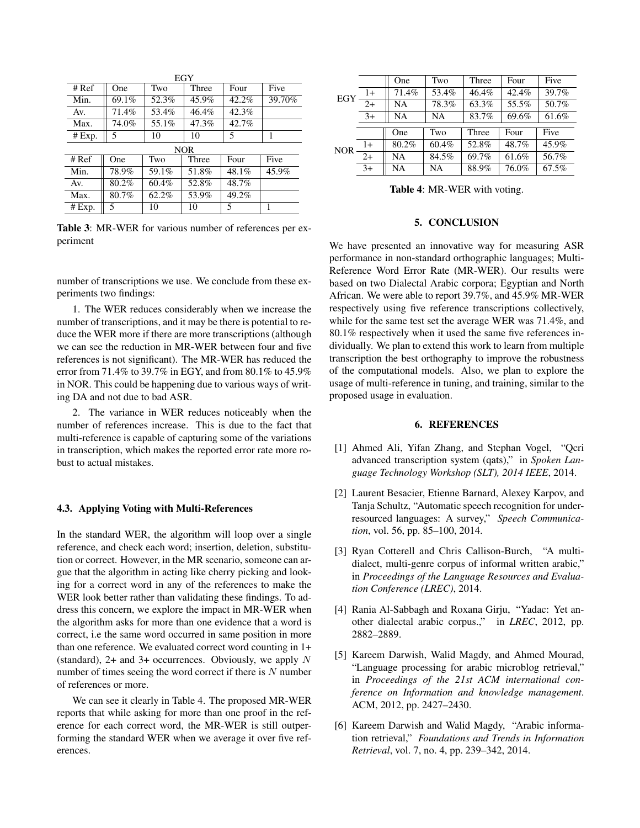| EGY        |       |       |       |          |        |
|------------|-------|-------|-------|----------|--------|
| $#$ Ref    | One   | Two   | Three | Four     | Five   |
| Min.       | 69.1% | 52.3% | 45.9% | 42.2%    | 39.70% |
| Av.        | 71.4% | 53.4% | 46.4% | 42.3%    |        |
| Max.       | 74.0% | 55.1% | 47.3% | 42.7%    |        |
| # Exp.     | 5     | 10    | 10    | 5        | 1      |
| <b>NOR</b> |       |       |       |          |        |
| # Ref      | One   | Two   | Three | Four     | Five   |
| Min.       | 78.9% | 59.1% | 51.8% | $48.1\%$ | 45.9%  |
| Av.        | 80.2% | 60.4% | 52.8% | 48.7%    |        |
| Max.       | 80.7% | 62.2% | 53.9% | 49.2%    |        |
| # Exp.     | 5     | 10    | 10    | 5        | 1      |

Table 3: MR-WER for various number of references per experiment

number of transcriptions we use. We conclude from these experiments two findings:

1. The WER reduces considerably when we increase the number of transcriptions, and it may be there is potential to reduce the WER more if there are more transcriptions (although we can see the reduction in MR-WER between four and five references is not significant). The MR-WER has reduced the error from 71.4% to 39.7% in EGY, and from 80.1% to 45.9% in NOR. This could be happening due to various ways of writing DA and not due to bad ASR.

2. The variance in WER reduces noticeably when the number of references increase. This is due to the fact that multi-reference is capable of capturing some of the variations in transcription, which makes the reported error rate more robust to actual mistakes.

#### 4.3. Applying Voting with Multi-References

In the standard WER, the algorithm will loop over a single reference, and check each word; insertion, deletion, substitution or correct. However, in the MR scenario, someone can argue that the algorithm in acting like cherry picking and looking for a correct word in any of the references to make the WER look better rather than validating these findings. To address this concern, we explore the impact in MR-WER when the algorithm asks for more than one evidence that a word is correct, i.e the same word occurred in same position in more than one reference. We evaluated correct word counting in 1+ (standard), 2+ and 3+ occurrences. Obviously, we apply *N* number of times seeing the word correct if there is *N* number of references or more.

We can see it clearly in Table [4.](#page-4-7) The proposed MR-WER reports that while asking for more than one proof in the reference for each correct word, the MR-WER is still outperforming the standard WER when we average it over five references.

| EGY |      | One   | Two   | Three | Four  | Five  |
|-----|------|-------|-------|-------|-------|-------|
|     | $1+$ | 71.4% | 53.4% | 46.4% | 42.4% | 39.7% |
|     | $2+$ | NA    | 78.3% | 63.3% | 55.5% | 50.7% |
|     | $3+$ | NA    | NA    | 83.7% | 69.6% | 61.6% |
|     |      |       |       |       |       |       |
| NOR |      | One   | Two   | Three | Four  | Five  |
|     | $1+$ | 80.2% | 60.4% | 52.8% | 48.7% | 45.9% |
|     | $2+$ | NA    | 84.5% | 69.7% | 61.6% | 56.7% |
|     | $3+$ | NA    | NA    | 88.9% | 76.0% | 67.5% |

Table 4: MR-WER with voting.

#### <span id="page-4-7"></span>5. CONCLUSION

<span id="page-4-6"></span>We have presented an innovative way for measuring ASR performance in non-standard orthographic languages; Multi-Reference Word Error Rate (MR-WER). Our results were based on two Dialectal Arabic corpora; Egyptian and North African. We were able to report 39.7%, and 45.9% MR-WER respectively using five reference transcriptions collectively, while for the same test set the average WER was 71.4%, and 80.1% respectively when it used the same five references individually. We plan to extend this work to learn from multiple transcription the best orthography to improve the robustness of the computational models. Also, we plan to explore the usage of multi-reference in tuning, and training, similar to the proposed usage in evaluation.

#### 6. REFERENCES

- <span id="page-4-0"></span>[1] Ahmed Ali, Yifan Zhang, and Stephan Vogel, "Qcri advanced transcription system (qats)," in *Spoken Language Technology Workshop (SLT), 2014 IEEE*, 2014.
- <span id="page-4-1"></span>[2] Laurent Besacier, Etienne Barnard, Alexey Karpov, and Tanja Schultz, "Automatic speech recognition for underresourced languages: A survey," *Speech Communication*, vol. 56, pp. 85–100, 2014.
- <span id="page-4-2"></span>[3] Ryan Cotterell and Chris Callison-Burch, "A multidialect, multi-genre corpus of informal written arabic," in *Proceedings of the Language Resources and Evaluation Conference (LREC)*, 2014.
- <span id="page-4-3"></span>[4] Rania Al-Sabbagh and Roxana Girju, "Yadac: Yet another dialectal arabic corpus.," in *LREC*, 2012, pp. 2882–2889.
- <span id="page-4-4"></span>[5] Kareem Darwish, Walid Magdy, and Ahmed Mourad, "Language processing for arabic microblog retrieval," in *Proceedings of the 21st ACM international conference on Information and knowledge management*. ACM, 2012, pp. 2427–2430.
- <span id="page-4-5"></span>[6] Kareem Darwish and Walid Magdy, "Arabic information retrieval," *Foundations and Trends in Information Retrieval*, vol. 7, no. 4, pp. 239–342, 2014.